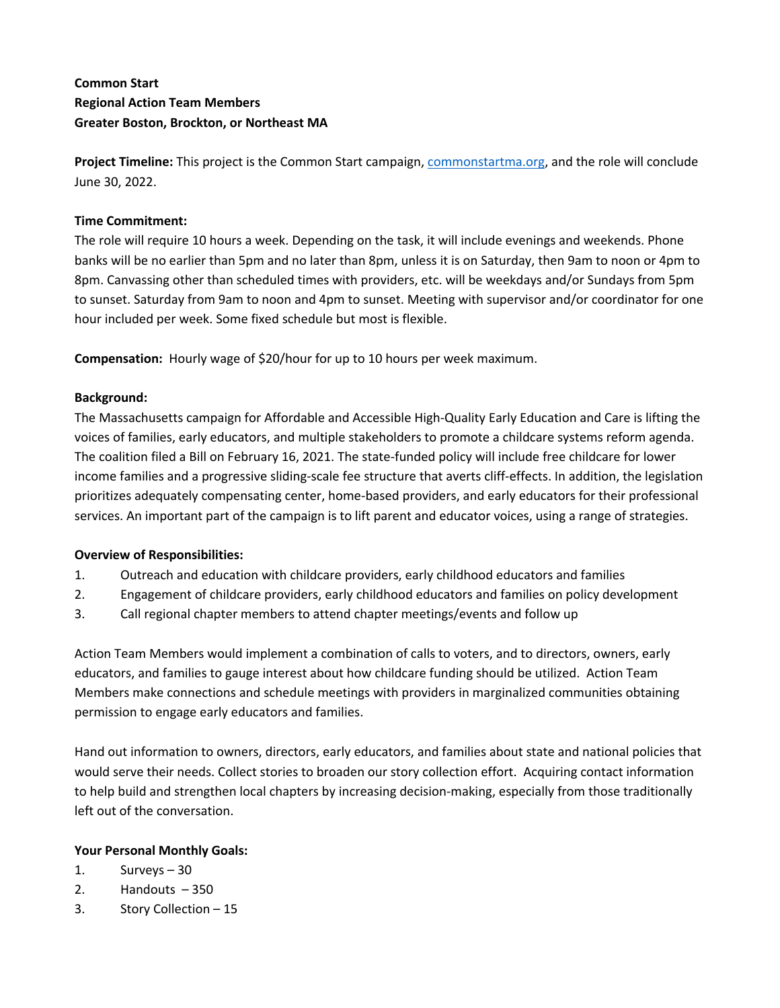# **Common Start Regional Action Team Members Greater Boston, Brockton, or Northeast MA**

**Project Timeline:** This project is the Common Start campaign, commonstartma.org, and the role will conclude June 30, 2022.

## **Time Commitment:**

The role will require 10 hours a week. Depending on the task, it will include evenings and weekends. Phone banks will be no earlier than 5pm and no later than 8pm, unless it is on Saturday, then 9am to noon or 4pm to 8pm. Canvassing other than scheduled times with providers, etc. will be weekdays and/or Sundays from 5pm to sunset. Saturday from 9am to noon and 4pm to sunset. Meeting with supervisor and/or coordinator for one hour included per week. Some fixed schedule but most is flexible.

**Compensation:** Hourly wage of \$20/hour for up to 10 hours per week maximum.

### **Background:**

The Massachusetts campaign for Affordable and Accessible High-Quality Early Education and Care is lifting the voices of families, early educators, and multiple stakeholders to promote a childcare systems reform agenda. The coalition filed a Bill on February 16, 2021. The state-funded policy will include free childcare for lower income families and a progressive sliding-scale fee structure that averts cliff-effects. In addition, the legislation prioritizes adequately compensating center, home-based providers, and early educators for their professional services. An important part of the campaign is to lift parent and educator voices, using a range of strategies.

### **Overview of Responsibilities:**

- 1. Outreach and education with childcare providers, early childhood educators and families
- 2. Engagement of childcare providers, early childhood educators and families on policy development
- 3. Call regional chapter members to attend chapter meetings/events and follow up

Action Team Members would implement a combination of calls to voters, and to directors, owners, early educators, and families to gauge interest about how childcare funding should be utilized. Action Team Members make connections and schedule meetings with providers in marginalized communities obtaining permission to engage early educators and families.

Hand out information to owners, directors, early educators, and families about state and national policies that would serve their needs. Collect stories to broaden our story collection effort. Acquiring contact information to help build and strengthen local chapters by increasing decision-making, especially from those traditionally left out of the conversation.

## **Your Personal Monthly Goals:**

- 1. Surveys 30
- 2. Handouts 350
- 3. Story Collection 15